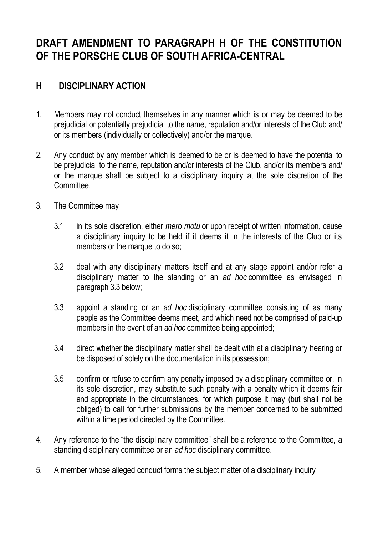## **DRAFT AMENDMENT TO PARAGRAPH H OF THE CONSTITUTION OF THE PORSCHE CLUB OF SOUTH AFRICA-CENTRAL**

## **H DISCIPLINARY ACTION**

- 1. Members may not conduct themselves in any manner which is or may be deemed to be prejudicial or potentially prejudicial to the name, reputation and/or interests of the Club and/ or its members (individually or collectively) and/or the marque.
- 2. Any conduct by any member which is deemed to be or is deemed to have the potential to be prejudicial to the name, reputation and/or interests of the Club, and/or its members and/ or the marque shall be subject to a disciplinary inquiry at the sole discretion of the Committee.
- 3. The Committee may
	- 3.1 in its sole discretion, either *mero motu* or upon receipt of written information, cause a disciplinary inquiry to be held if it deems it in the interests of the Club or its members or the marque to do so;
	- 3.2 deal with any disciplinary matters itself and at any stage appoint and/or refer a disciplinary matter to the standing or an *ad hoc* committee as envisaged in paragraph 3.3 below;
	- 3.3 appoint a standing or an *ad hoc* disciplinary committee consisting of as many people as the Committee deems meet, and which need not be comprised of paid-up members in the event of an *ad hoc* committee being appointed;
	- 3.4 direct whether the disciplinary matter shall be dealt with at a disciplinary hearing or be disposed of solely on the documentation in its possession;
	- 3.5 confirm or refuse to confirm any penalty imposed by a disciplinary committee or, in its sole discretion, may substitute such penalty with a penalty which it deems fair and appropriate in the circumstances, for which purpose it may (but shall not be obliged) to call for further submissions by the member concerned to be submitted within a time period directed by the Committee.
- 4. Any reference to the "the disciplinary committee" shall be a reference to the Committee, a standing disciplinary committee or an *ad hoc* disciplinary committee.
- 5. A member whose alleged conduct forms the subject matter of a disciplinary inquiry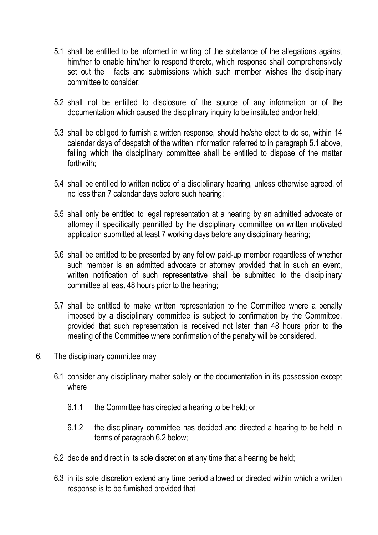- 5.1 shall be entitled to be informed in writing of the substance of the allegations against him/her to enable him/her to respond thereto, which response shall comprehensively set out the facts and submissions which such member wishes the disciplinary committee to consider;
- 5.2 shall not be entitled to disclosure of the source of any information or of the documentation which caused the disciplinary inquiry to be instituted and/or held;
- 5.3 shall be obliged to furnish a written response, should he/she elect to do so, within 14 calendar days of despatch of the written information referred to in paragraph 5.1 above, failing which the disciplinary committee shall be entitled to dispose of the matter forthwith;
- 5.4 shall be entitled to written notice of a disciplinary hearing, unless otherwise agreed, of no less than 7 calendar days before such hearing;
- 5.5 shall only be entitled to legal representation at a hearing by an admitted advocate or attorney if specifically permitted by the disciplinary committee on written motivated application submitted at least 7 working days before any disciplinary hearing;
- 5.6 shall be entitled to be presented by any fellow paid-up member regardless of whether such member is an admitted advocate or attorney provided that in such an event, written notification of such representative shall be submitted to the disciplinary committee at least 48 hours prior to the hearing;
- 5.7 shall be entitled to make written representation to the Committee where a penalty imposed by a disciplinary committee is subject to confirmation by the Committee, provided that such representation is received not later than 48 hours prior to the meeting of the Committee where confirmation of the penalty will be considered.
- 6. The disciplinary committee may
	- 6.1 consider any disciplinary matter solely on the documentation in its possession except where
		- 6.1.1 the Committee has directed a hearing to be held; or
		- 6.1.2 the disciplinary committee has decided and directed a hearing to be held in terms of paragraph 6.2 below;
	- 6.2 decide and direct in its sole discretion at any time that a hearing be held;
	- 6.3 in its sole discretion extend any time period allowed or directed within which a written response is to be furnished provided that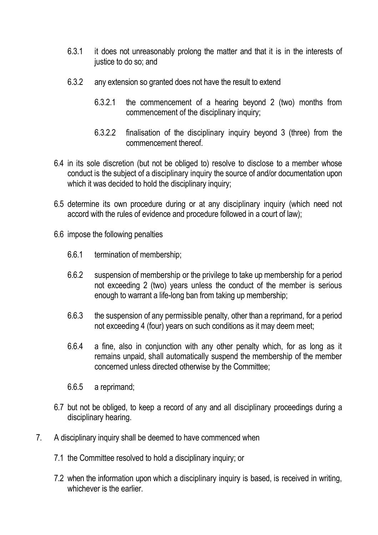- 6.3.1 it does not unreasonably prolong the matter and that it is in the interests of justice to do so; and
- 6.3.2 any extension so granted does not have the result to extend
	- 6.3.2.1 the commencement of a hearing beyond 2 (two) months from commencement of the disciplinary inquiry;
	- 6.3.2.2 finalisation of the disciplinary inquiry beyond 3 (three) from the commencement thereof.
- 6.4 in its sole discretion (but not be obliged to) resolve to disclose to a member whose conduct is the subject of a disciplinary inquiry the source of and/or documentation upon which it was decided to hold the disciplinary inquiry;
- 6.5 determine its own procedure during or at any disciplinary inquiry (which need not accord with the rules of evidence and procedure followed in a court of law);
- 6.6 impose the following penalties
	- 6.6.1 termination of membership;
	- 6.6.2 suspension of membership or the privilege to take up membership for a period not exceeding 2 (two) years unless the conduct of the member is serious enough to warrant a life-long ban from taking up membership;
	- 6.6.3 the suspension of any permissible penalty, other than a reprimand, for a period not exceeding 4 (four) years on such conditions as it may deem meet;
	- 6.6.4 a fine, also in conjunction with any other penalty which, for as long as it remains unpaid, shall automatically suspend the membership of the member concerned unless directed otherwise by the Committee;
	- 6.6.5 a reprimand;
- 6.7 but not be obliged, to keep a record of any and all disciplinary proceedings during a disciplinary hearing.
- 7. A disciplinary inquiry shall be deemed to have commenced when
	- 7.1 the Committee resolved to hold a disciplinary inquiry; or
	- 7.2 when the information upon which a disciplinary inquiry is based, is received in writing, whichever is the earlier.